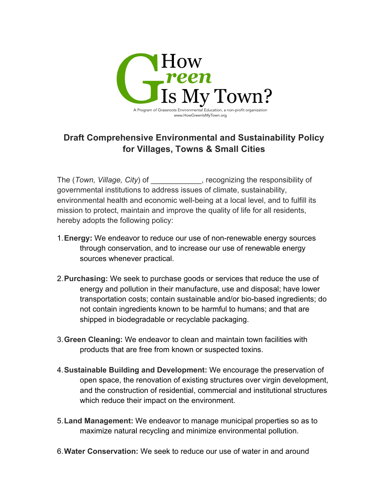

## **Draft Comprehensive Environmental and Sustainability Policy for Villages, Towns & Small Cities**

The (*Town, Village, City*) of \_\_\_\_\_\_\_\_\_\_\_\_, recognizing the responsibility of governmental institutions to address issues of climate, sustainability, environmental health and economic well-being at a local level, and to fulfill its mission to protect, maintain and improve the quality of life for all residents, hereby adopts the following policy:

- 1.**Energy:** We endeavor to reduce our use of non-renewable energy sources through conservation, and to increase our use of renewable energy sources whenever practical.
- 2.**Purchasing:** We seek to purchase goods or services that reduce the use of energy and pollution in their manufacture, use and disposal; have lower transportation costs; contain sustainable and/or bio-based ingredients; do not contain ingredients known to be harmful to humans; and that are shipped in biodegradable or recyclable packaging.
- 3.**Green Cleaning:** We endeavor to clean and maintain town facilities with products that are free from known or suspected toxins.
- 4.**Sustainable Building and Development:** We encourage the preservation of open space, the renovation of existing structures over virgin development, and the construction of residential, commercial and institutional structures which reduce their impact on the environment.
- 5.**Land Management:** We endeavor to manage municipal properties so as to maximize natural recycling and minimize environmental pollution.
- 6.**Water Conservation:** We seek to reduce our use of water in and around